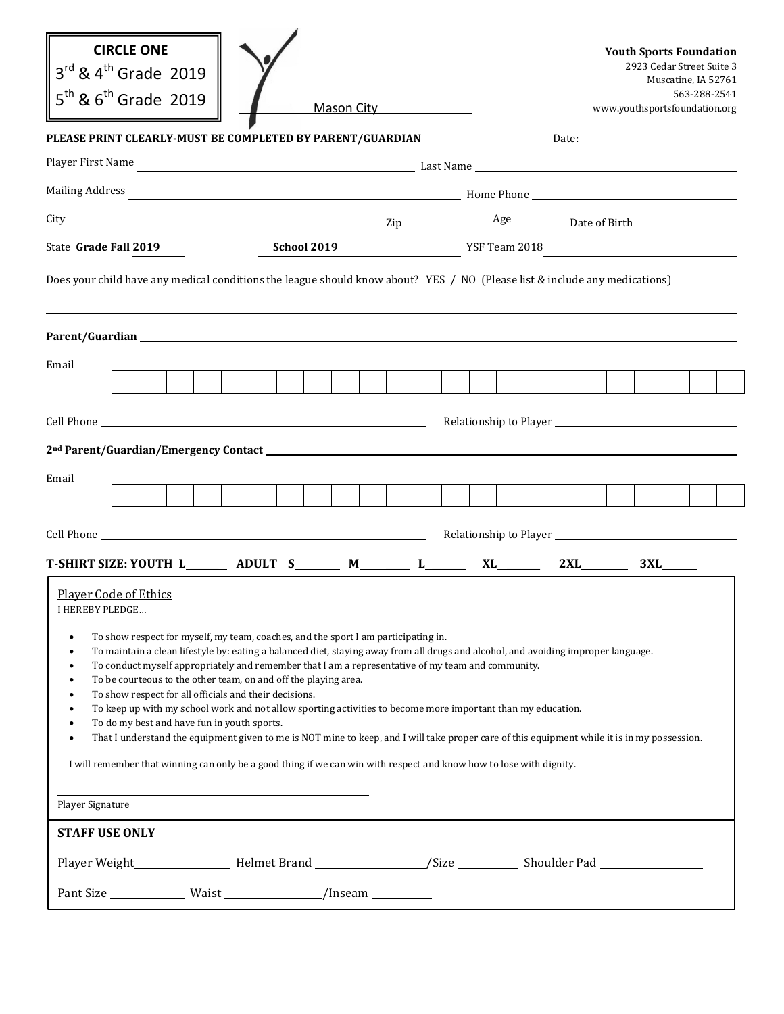| <b>CIRCLE ONE</b><br>$3^{rd}$ & $4^{th}$ Grade 2019<br>$5^{th}$ & $6^{th}$ Grade 2019                                                                                                                                                                                                                                                                                                                                                                                                                                                                                                                                                                                                                                                                                                                                                                                                                                                                                                                                                                 |  |  |  | Mason City <b>Mason City</b> |  |  |  |  |  | <b>Youth Sports Foundation</b><br>www.youthsportsfoundation.org | 2923 Cedar Street Suite 3<br>Muscatine, IA 52761 | 563-288-2541 |  |
|-------------------------------------------------------------------------------------------------------------------------------------------------------------------------------------------------------------------------------------------------------------------------------------------------------------------------------------------------------------------------------------------------------------------------------------------------------------------------------------------------------------------------------------------------------------------------------------------------------------------------------------------------------------------------------------------------------------------------------------------------------------------------------------------------------------------------------------------------------------------------------------------------------------------------------------------------------------------------------------------------------------------------------------------------------|--|--|--|------------------------------|--|--|--|--|--|-----------------------------------------------------------------|--------------------------------------------------|--------------|--|
| PLEASE PRINT CLEARLY-MUST BE COMPLETED BY PARENT/GUARDIAN                                                                                                                                                                                                                                                                                                                                                                                                                                                                                                                                                                                                                                                                                                                                                                                                                                                                                                                                                                                             |  |  |  |                              |  |  |  |  |  | Date: $\qquad \qquad$                                           |                                                  |              |  |
|                                                                                                                                                                                                                                                                                                                                                                                                                                                                                                                                                                                                                                                                                                                                                                                                                                                                                                                                                                                                                                                       |  |  |  |                              |  |  |  |  |  |                                                                 |                                                  |              |  |
|                                                                                                                                                                                                                                                                                                                                                                                                                                                                                                                                                                                                                                                                                                                                                                                                                                                                                                                                                                                                                                                       |  |  |  |                              |  |  |  |  |  |                                                                 |                                                  |              |  |
|                                                                                                                                                                                                                                                                                                                                                                                                                                                                                                                                                                                                                                                                                                                                                                                                                                                                                                                                                                                                                                                       |  |  |  |                              |  |  |  |  |  |                                                                 |                                                  |              |  |
| School 2019<br>State Grade Fall 2019                                                                                                                                                                                                                                                                                                                                                                                                                                                                                                                                                                                                                                                                                                                                                                                                                                                                                                                                                                                                                  |  |  |  | YSF Team 2018                |  |  |  |  |  |                                                                 |                                                  |              |  |
| Does your child have any medical conditions the league should know about? YES / NO (Please list & include any medications)                                                                                                                                                                                                                                                                                                                                                                                                                                                                                                                                                                                                                                                                                                                                                                                                                                                                                                                            |  |  |  |                              |  |  |  |  |  |                                                                 |                                                  |              |  |
|                                                                                                                                                                                                                                                                                                                                                                                                                                                                                                                                                                                                                                                                                                                                                                                                                                                                                                                                                                                                                                                       |  |  |  |                              |  |  |  |  |  |                                                                 |                                                  |              |  |
| Email                                                                                                                                                                                                                                                                                                                                                                                                                                                                                                                                                                                                                                                                                                                                                                                                                                                                                                                                                                                                                                                 |  |  |  |                              |  |  |  |  |  |                                                                 |                                                  |              |  |
|                                                                                                                                                                                                                                                                                                                                                                                                                                                                                                                                                                                                                                                                                                                                                                                                                                                                                                                                                                                                                                                       |  |  |  |                              |  |  |  |  |  |                                                                 |                                                  |              |  |
|                                                                                                                                                                                                                                                                                                                                                                                                                                                                                                                                                                                                                                                                                                                                                                                                                                                                                                                                                                                                                                                       |  |  |  |                              |  |  |  |  |  |                                                                 |                                                  |              |  |
| Email                                                                                                                                                                                                                                                                                                                                                                                                                                                                                                                                                                                                                                                                                                                                                                                                                                                                                                                                                                                                                                                 |  |  |  |                              |  |  |  |  |  |                                                                 |                                                  |              |  |
|                                                                                                                                                                                                                                                                                                                                                                                                                                                                                                                                                                                                                                                                                                                                                                                                                                                                                                                                                                                                                                                       |  |  |  |                              |  |  |  |  |  |                                                                 |                                                  |              |  |
|                                                                                                                                                                                                                                                                                                                                                                                                                                                                                                                                                                                                                                                                                                                                                                                                                                                                                                                                                                                                                                                       |  |  |  |                              |  |  |  |  |  |                                                                 |                                                  |              |  |
|                                                                                                                                                                                                                                                                                                                                                                                                                                                                                                                                                                                                                                                                                                                                                                                                                                                                                                                                                                                                                                                       |  |  |  |                              |  |  |  |  |  |                                                                 |                                                  |              |  |
|                                                                                                                                                                                                                                                                                                                                                                                                                                                                                                                                                                                                                                                                                                                                                                                                                                                                                                                                                                                                                                                       |  |  |  |                              |  |  |  |  |  |                                                                 |                                                  |              |  |
| <b>Player Code of Ethics</b><br><b>I HEREBY PLEDGE</b><br>To show respect for myself, my team, coaches, and the sport I am participating in.<br>$\bullet$<br>To maintain a clean lifestyle by: eating a balanced diet, staying away from all drugs and alcohol, and avoiding improper language.<br>$\bullet$<br>To conduct myself appropriately and remember that I am a representative of my team and community.<br>$\bullet$<br>To be courteous to the other team, on and off the playing area.<br>$\bullet$<br>To show respect for all officials and their decisions.<br>To keep up with my school work and not allow sporting activities to become more important than my education.<br>$\bullet$<br>To do my best and have fun in youth sports.<br>$\bullet$<br>That I understand the equipment given to me is NOT mine to keep, and I will take proper care of this equipment while it is in my possession.<br>$\bullet$<br>I will remember that winning can only be a good thing if we can win with respect and know how to lose with dignity. |  |  |  |                              |  |  |  |  |  |                                                                 |                                                  |              |  |
| Player Signature                                                                                                                                                                                                                                                                                                                                                                                                                                                                                                                                                                                                                                                                                                                                                                                                                                                                                                                                                                                                                                      |  |  |  |                              |  |  |  |  |  |                                                                 |                                                  |              |  |
| <b>STAFF USE ONLY</b><br>Player Weight_____________________Helmet Brand __________________/Size _____________Shoulder Pad _____________                                                                                                                                                                                                                                                                                                                                                                                                                                                                                                                                                                                                                                                                                                                                                                                                                                                                                                               |  |  |  |                              |  |  |  |  |  |                                                                 |                                                  |              |  |
|                                                                                                                                                                                                                                                                                                                                                                                                                                                                                                                                                                                                                                                                                                                                                                                                                                                                                                                                                                                                                                                       |  |  |  |                              |  |  |  |  |  |                                                                 |                                                  |              |  |